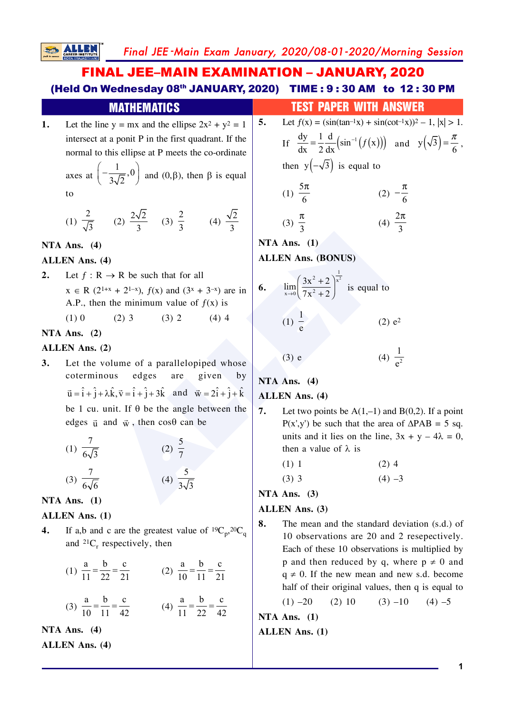# **FINAL JEE-MAIN EXAMINATION - JANUARY, 2020** (Held On Wednesday 08th JANUARY, 2020) TIME: 9:30 AM to 12:30 PM

|  |                                                                                                                                            | MATHEMATICS |  |  |  |  |  |
|--|--------------------------------------------------------------------------------------------------------------------------------------------|-------------|--|--|--|--|--|
|  | Let the line $y = mx$ and the ellipse $2x^2 + y^2 = 1$   5                                                                                 |             |  |  |  |  |  |
|  | intersect at a ponit P in the first quadrant. If the                                                                                       |             |  |  |  |  |  |
|  | normal to this ellipse at P meets the co-ordinate<br>axes at $\left(-\frac{1}{3\sqrt{2}},0\right)$ and $(0,\beta)$ , then $\beta$ is equal |             |  |  |  |  |  |
|  |                                                                                                                                            |             |  |  |  |  |  |
|  | to                                                                                                                                         |             |  |  |  |  |  |
|  |                                                                                                                                            |             |  |  |  |  |  |

(1) 
$$
\frac{2}{\sqrt{3}}
$$
 (2)  $\frac{2\sqrt{2}}{3}$  (3)  $\frac{2}{3}$  (4)  $\frac{\sqrt{2}}{3}$ 

NTA Ans.  $(4)$ 

**SALLE** 

## **ALLEN Ans. (4)**

Let  $f: \mathbb{R} \to \mathbb{R}$  be such that for all  $2.$  $x \in R$  (2<sup>1+x</sup> + 2<sup>1-x</sup>),  $f(x)$  and (3<sup>x</sup> + 3<sup>-x</sup>) are in A.P., then the minimum value of  $f(x)$  is  $(1)0$  $(2)$  3  $(3) 2$  $(4)$  4

# NTA Ans.  $(2)$

# **ALLEN Ans. (2)**

 $3.$ Let the volume of a parallelopiped whose  $edges$ given by coterminous are  $\vec{u} = \hat{i} + \hat{j} + \lambda \hat{k}, \vec{v} = \hat{i} + \hat{j} + 3\hat{k}$  and  $\vec{w} = 2\hat{i} + \hat{j} + \hat{k}$ be 1 cu. unit. If  $\theta$  be the angle between the edges  $\vec{u}$  and  $\vec{w}$ , then cos $\theta$  can be

(1) 
$$
\frac{7}{6\sqrt{3}}
$$
 (2)  $\frac{5}{7}$   
(3)  $\frac{7}{6\sqrt{6}}$  (4)  $\frac{5}{3\sqrt{3}}$ 

NTA Ans.  $(1)$ 

## **ALLEN** Ans. (1)

 $\overline{4}$ . If a,b and c are the greatest value of  ${}^{19}C_n$ ,  ${}^{20}C_a$ and  $^{21}C_r$  respectively, then

(1) 
$$
\frac{a}{11} = \frac{b}{22} = \frac{c}{21}
$$
 (2)  $\frac{a}{10} = \frac{b}{11} = \frac{c}{21}$ 

(3) 
$$
\frac{a}{10} = \frac{b}{11} = \frac{c}{42}
$$
 (4)  $\frac{a}{11} = \frac{b}{22} = \frac{c}{42}$ 

NTA Ans.  $(4)$ **ALLEN Ans. (4)** 

|  |  | <b>TEST PAPER WITH ANSWER</b> |  |
|--|--|-------------------------------|--|
|  |  |                               |  |

5. Let 
$$
f(x) = (\sin(\tan^{-1}x) + \sin(\cot^{-1}x))^2 - 1
$$
,  $|x| > 1$ .  
\nIf  $\frac{dy}{dx} = \frac{1}{2} \frac{d}{dx} (\sin^{-1}(f(x)))$  and  $y(\sqrt{3}) = \frac{\pi}{6}$ ,  
\nthen  $y(-\sqrt{3})$  is equal to  
\n(1)  $\frac{5\pi}{6}$  (2)  $-\frac{\pi}{6}$   
\n(3)  $\frac{\pi}{3}$  (4)  $\frac{2\pi}{3}$ 

NTA Ans.  $(1)$ **ALLEN Ans. (BONUS)** 

6. 
$$
\lim_{x \to 0} \left( \frac{3x^2 + 2}{7x^2 + 2} \right)^{\frac{1}{x^2}}
$$
 is equal to  
(1)  $\frac{1}{e}$  (2)  $e^2$   
(3) e (4)  $\frac{1}{e^2}$ 

NTA Ans.  $(4)$ 

# **ALLEN Ans. (4)**

- Let two points be  $A(1,-1)$  and  $B(0,2)$ . If a point 7.  $P(x',y')$  be such that the area of  $\triangle PAB = 5$  sq. units and it lies on the line,  $3x + y - 4\lambda = 0$ , then a value of  $\lambda$  is
	- $(1)$  1  $(2)$  4

 $(3)$  3  $(4) -3$ 

NTA Ans.  $(3)$ 

**ALLEN** Ans. (3)

8. The mean and the standard deviation (s.d.) of 10 observations are 20 and 2 resepectively. Each of these 10 observations is multiplied by p and then reduced by q, where  $p \neq 0$  and  $q \neq 0$ . If the new mean and new s.d. become half of their original values, then q is equal to

> $(3) -10$  $(1) -20$  $(2) 10$  $(4) -5$

NTA Ans.  $(1)$ **ALLEN Ans. (1)**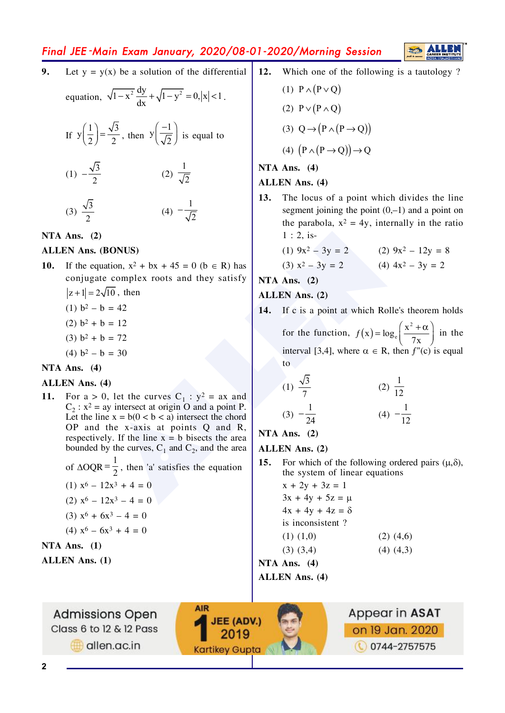# Final JEE-Main Exam January, 2020/08-01-2020/Morning Session

 $9<sub>1</sub>$ Let  $y = y(x)$  be a solution of the differential

equation, 
$$
\sqrt{1-x^2} \frac{dy}{dx} + \sqrt{1-y^2} = 0, |x| < 1
$$
.

If 
$$
y\left(\frac{1}{2}\right) = \frac{\sqrt{3}}{2}
$$
, then  $y\left(\frac{-1}{\sqrt{2}}\right)$  is equal to

(1) 
$$
-\frac{\sqrt{3}}{2}
$$
 (2)  $\frac{1}{\sqrt{2}}$   
(3)  $\frac{\sqrt{3}}{2}$  (4)  $-\frac{1}{\sqrt{2}}$ 

NTA Ans.  $(2)$ 

## **ALLEN Ans. (BONUS)**

- If the equation,  $x^2 + bx + 45 = 0$  (b  $\in$  R) has **10.** conjugate complex roots and they satisfy  $|z+1|=2\sqrt{10}$ , then
	- (1)  $b^2 b = 42$
	- $(2) b<sup>2</sup> + b = 12$
	- $(3) b<sup>2</sup> + b = 72$
	- (4)  $b^2 b = 30$

#### NTA Ans.  $(4)$

#### **ALLEN Ans. (4)**

For a > 0, let the curves  $C_1$ :  $y^2$  = ax and  $11.$  $C_2$ :  $x^2$  = ay intersect at origin O and a point P. Let the line  $x = b(0 < b < a)$  intersect the chord OP and the x-axis at points Q and R, respectively. If the line  $x = b$  bisects the area bounded by the curves,  $C_1$  and  $C_2$ , and the area

of 
$$
\triangle OQR = \frac{1}{2}
$$
, then 'a' satisfies the equation  
\n(1)  $x^6 - 12x^3 + 4 = 0$   
\n(2)  $x^6 - 12x^3 - 4 = 0$   
\n(3)  $x^6 + 6x^3 - 4 = 0$   
\n(4)  $x^6 - 6x^3 + 4 = 0$ 

# NTA Ans.  $(1)$

**ALLEN Ans.** (1)

12. Which one of the following is a tautology?

(1) 
$$
P \wedge (P \vee Q)
$$
  
\n(2)  $P \vee (P \wedge Q)$   
\n(3)  $Q \rightarrow (P \wedge (P \rightarrow Q))$   
\n(4)  $(P \wedge (P \rightarrow Q)) \rightarrow Q$ 

NTA Ans.  $(4)$ 

### **ALLEN Ans. (4)**

 $13.$ The locus of a point which divides the line segment joining the point  $(0,-1)$  and a point on the parabola,  $x^2 = 4y$ , internally in the ratio  $1:2$ , is-

(1) 
$$
9x^2 - 3y = 2
$$
 (2)  $9x^2 - 12y = 8$ 

$$
= 2 \qquad (4) \ 4x^2 - 3y = 2
$$

NTA Ans.  $(2)$ 

**ALLEN Ans. (2)** 

 $(3) x^2 - 3y$ 

- 14. If c is a point at which Rolle's theorem holds
	- for the function,  $f(x) = log_e \left( \frac{x^2 + \alpha}{7x} \right)$  in the interval [3,4], where  $\alpha \in R$ , then  $f''(c)$  is equal  $\overline{10}$

(1) 
$$
\frac{\sqrt{3}}{7}
$$
 (2)  $\frac{1}{12}$   
(3)  $-\frac{1}{24}$  (4)  $-\frac{1}{12}$ 

NTA Ans.  $(2)$ 

## **ALLEN** Ans. (2)

- $15.$ For which of the following ordered pairs  $(\mu, \delta)$ , the system of linear equations
	- $x + 2y + 3z = 1$  $3x + 4y + 5z = \mu$  $4x + 4y + 4z = \delta$ is inconsistent?  $(1)$   $(1,0)$  $(2)$   $(4,6)$  $(3)$   $(3,4)$

 $(4)$   $(4,3)$ 

NTA Ans.  $(4)$ 

**ALLEN Ans.** (4)

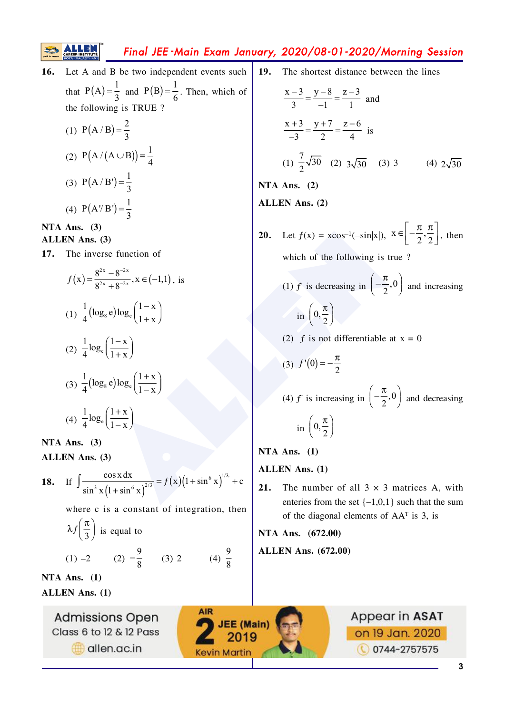# Final JEE-Main Exam January, 2020/08-01-2020/Morning Session

Let A and B be two independent events such 16. that  $P(A) = \frac{1}{3}$  and  $P(B) = \frac{1}{6}$ . Then, which of the following is TRUE ? (1)  $P(A/B) = \frac{2}{2}$ (2)  $P(A/(A \cup B)) = \frac{1}{4}$ (3)  $P(A/B') = \frac{1}{3}$ (4)  $P(A'B') = \frac{1}{2}$ 

NTA Ans.  $(3)$ 

**ALLEN** Ans. (3)

17. The inverse function of

$$
f(x) = \frac{8^{2x} - 8^{-2x}}{8^{2x} + 8^{-2x}}, x \in (-1,1), \text{ is}
$$
  
\n(1)  $\frac{1}{4} (\log_8 e) \log_e \left( \frac{1 - x}{1 + x} \right)$   
\n(2)  $\frac{1}{4} \log_e \left( \frac{1 - x}{1 + x} \right)$   
\n(3)  $\frac{1}{4} (\log_8 e) \log_e \left( \frac{1 + x}{1 - x} \right)$   
\n(4)  $\frac{1}{4} \log_e \left( \frac{1 + x}{1 - x} \right)$ 

NTA Ans.  $(3)$ **ALLEN** Ans. (3)

**18.** If 
$$
\int \frac{\cos x \, dx}{\sin^3 x (1 + \sin^6 x)^{2/3}} = f(x) (1 + \sin^6 x)^{1/\lambda} + c
$$

where c is a constant of integration, then

(4)  $\frac{9}{8}$ 

**AIR** 

$$
\lambda f\left(\frac{\pi}{3}\right)
$$
 is equal to  
(1) -2 (2)  $-\frac{9}{8}$  (3) 2

NTA Ans.  $(1)$ **ALLEN Ans. (1)** 

> **Admissions Open** Class 6 to 12 & 12 Pass allen.ac.in

 $19.$ The shortest distance between the lines

$$
\frac{x-3}{3} = \frac{y-8}{-1} = \frac{z-3}{1} \text{ and}
$$
  

$$
\frac{x+3}{-3} = \frac{y+7}{2} = \frac{z-6}{4} \text{ is}
$$
  
(1)  $\frac{7}{2}\sqrt{30}$  (2)  $3\sqrt{30}$  (3) 3 (4)  $2\sqrt{30}$ 

NTA Ans.  $(2)$ 

**ALLEN** Ans. (2)

- **20.** Let  $f(x) = x\cos^{-1}(-\sin|x|), x \in \left[-\frac{\pi}{2}, \frac{\pi}{2}\right]$ , then which of the following is true?
	- (1) f' is decreasing in  $\left(-\frac{\pi}{2},0\right)$  and increasing in  $\left(0,\frac{\pi}{2}\right)$
	- (2) f is not differentiable at  $x = 0$

$$
(3) f'(0) = -\frac{\pi}{2}
$$

(4) f' is increasing in  $\left(-\frac{\pi}{2},0\right)$  and decreasing in  $\left(0,\frac{\pi}{2}\right)$ 

NTA Ans.  $(1)$ 

**ALLEN Ans. (1)** 

The number of all  $3 \times 3$  matrices A, with  $21.$ enteries from the set  $\{-1,0,1\}$  such that the sum of the diagonal elements of  $AA<sup>T</sup>$  is 3, is

NTA Ans. (672.00) **ALLEN Ans.** (672.00)